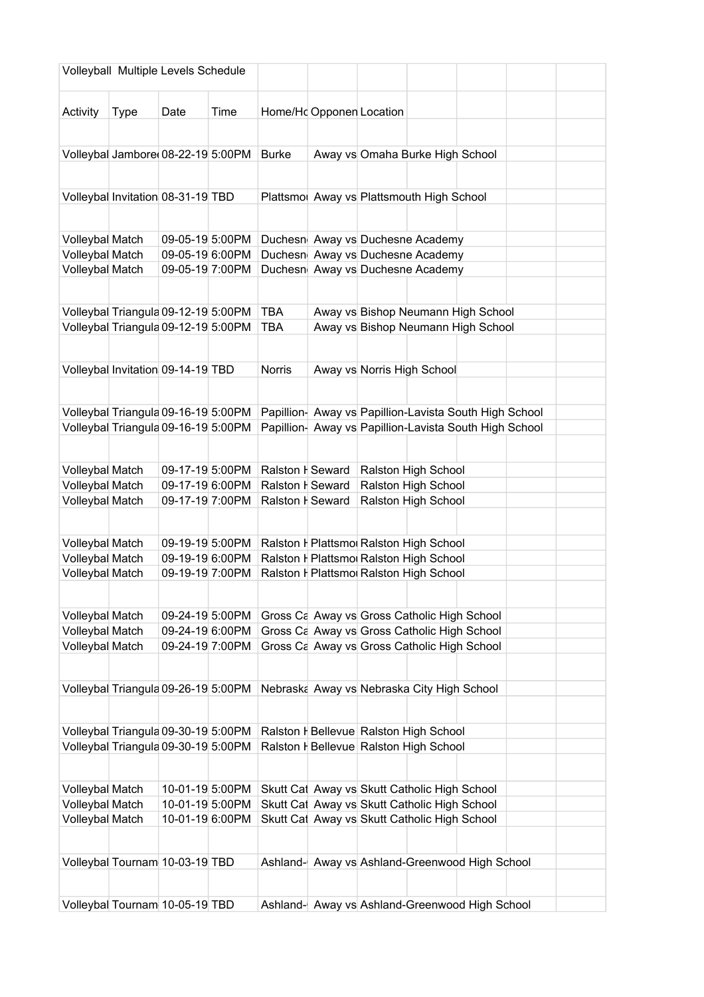| Volleyball Multiple Levels Schedule |                                                                            |                 |      |                  |                          |                                                                                  |  |  |
|-------------------------------------|----------------------------------------------------------------------------|-----------------|------|------------------|--------------------------|----------------------------------------------------------------------------------|--|--|
|                                     |                                                                            |                 |      |                  |                          |                                                                                  |  |  |
| Activity                            | <b>Type</b>                                                                | Date            | Time |                  | Home/Hd Opponen Location |                                                                                  |  |  |
|                                     |                                                                            |                 |      |                  |                          |                                                                                  |  |  |
|                                     | Volleybal Jambore 08-22-19 5:00PM                                          |                 |      | <b>Burke</b>     |                          | Away vs Omaha Burke High School                                                  |  |  |
|                                     |                                                                            |                 |      |                  |                          |                                                                                  |  |  |
|                                     | Volleybal Invitation 08-31-19 TBD                                          |                 |      |                  |                          | Plattsmo Away vs Plattsmouth High School                                         |  |  |
|                                     |                                                                            |                 |      |                  |                          |                                                                                  |  |  |
| Volleybal Match                     |                                                                            | 09-05-19 5:00PM |      |                  |                          | Duchesn Away vs Duchesne Academy                                                 |  |  |
| Volleybal Match                     |                                                                            | 09-05-19 6:00PM |      |                  |                          | Duchesn Away vs Duchesne Academy                                                 |  |  |
| Volleybal Match                     |                                                                            | 09-05-19 7:00PM |      |                  |                          | Duchesn Away vs Duchesne Academy                                                 |  |  |
|                                     |                                                                            |                 |      |                  |                          |                                                                                  |  |  |
|                                     | Volleybal Triangula 09-12-19 5:00PM                                        |                 |      | <b>TBA</b>       |                          | Away vs Bishop Neumann High School                                               |  |  |
|                                     | Volleybal Triangula 09-12-19 5:00PM                                        |                 |      | <b>TBA</b>       |                          | Away vs Bishop Neumann High School                                               |  |  |
|                                     |                                                                            |                 |      |                  |                          |                                                                                  |  |  |
|                                     | Volleybal Invitation 09-14-19 TBD                                          |                 |      | <b>Norris</b>    |                          | Away vs Norris High School                                                       |  |  |
|                                     |                                                                            |                 |      |                  |                          |                                                                                  |  |  |
|                                     |                                                                            |                 |      |                  |                          |                                                                                  |  |  |
|                                     | Volleybal Triangula 09-16-19 5:00PM                                        |                 |      |                  |                          | Papillion- Away vs Papillion-Lavista South High School                           |  |  |
|                                     | Volleybal Triangula 09-16-19 5:00PM                                        |                 |      |                  |                          | Papillion- Away vs Papillion-Lavista South High School                           |  |  |
|                                     |                                                                            |                 |      |                  |                          |                                                                                  |  |  |
| Volleybal Match                     |                                                                            | 09-17-19 5:00PM |      | Ralston I Seward |                          | Ralston High School                                                              |  |  |
| Volleybal Match                     |                                                                            | 09-17-19 6:00PM |      | Ralston I Seward |                          | Ralston High School                                                              |  |  |
| Volleybal Match                     |                                                                            | 09-17-19 7:00PM |      | Ralston I Seward |                          | Ralston High School                                                              |  |  |
|                                     |                                                                            |                 |      |                  |                          |                                                                                  |  |  |
| Volleybal Match                     |                                                                            | 09-19-19 5:00PM |      |                  |                          | Ralston H Plattsmo Ralston High School                                           |  |  |
| Volleybal Match                     |                                                                            | 09-19-19 6:00PM |      |                  |                          | Ralston H Plattsmo Ralston High School                                           |  |  |
| Volleybal Match                     |                                                                            | 09-19-19 7:00PM |      |                  |                          | Ralston H Plattsmo Ralston High School                                           |  |  |
|                                     |                                                                            |                 |      |                  |                          |                                                                                  |  |  |
| Volleybal Match                     |                                                                            | 09-24-19 5:00PM |      |                  |                          | Gross Ca Away vs Gross Catholic High School                                      |  |  |
| Volleybal Match                     |                                                                            | 09-24-19 6:00PM |      |                  |                          | Gross Ca Away vs Gross Catholic High School                                      |  |  |
| Volleybal Match                     |                                                                            | 09-24-19 7:00PM |      |                  |                          | Gross Ca Away vs Gross Catholic High School                                      |  |  |
|                                     |                                                                            |                 |      |                  |                          |                                                                                  |  |  |
|                                     | Volleybal Triangula 09-26-19 5:00PM                                        |                 |      |                  |                          | Nebraska Away vs Nebraska City High School                                       |  |  |
|                                     |                                                                            |                 |      |                  |                          |                                                                                  |  |  |
|                                     |                                                                            |                 |      |                  |                          |                                                                                  |  |  |
|                                     | Volleybal Triangula 09-30-19 5:00PM<br>Volleybal Triangula 09-30-19 5:00PM |                 |      |                  |                          | Ralston H Bellevue Ralston High School<br>Ralston H Bellevue Ralston High School |  |  |
|                                     |                                                                            |                 |      |                  |                          |                                                                                  |  |  |
|                                     |                                                                            |                 |      |                  |                          |                                                                                  |  |  |
| Volleybal Match                     |                                                                            | 10-01-19 5:00PM |      |                  |                          | Skutt Cat Away vs Skutt Catholic High School                                     |  |  |
| Volleybal Match                     |                                                                            | 10-01-19 5:00PM |      |                  |                          | Skutt Cat Away vs Skutt Catholic High School                                     |  |  |
| Volleybal Match                     |                                                                            | 10-01-19 6:00PM |      |                  |                          | Skutt Cat Away vs Skutt Catholic High School                                     |  |  |
|                                     |                                                                            |                 |      |                  |                          |                                                                                  |  |  |
|                                     | Volleybal Tournam 10-03-19 TBD                                             |                 |      |                  |                          | Ashland- Away vs Ashland-Greenwood High School                                   |  |  |
|                                     |                                                                            |                 |      |                  |                          |                                                                                  |  |  |
|                                     | Volleybal Tournam 10-05-19 TBD                                             |                 |      |                  |                          | Ashland- Away vs Ashland-Greenwood High School                                   |  |  |
|                                     |                                                                            |                 |      |                  |                          |                                                                                  |  |  |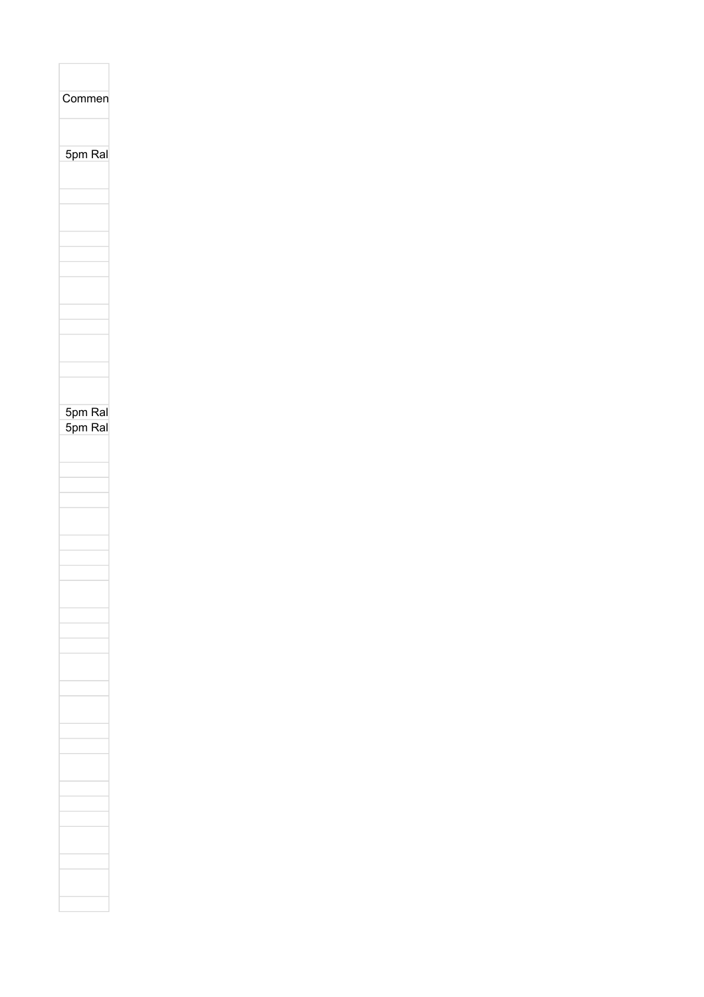| Commen  |
|---------|
|         |
|         |
|         |
|         |
| 5pm Ral |
|         |
|         |
|         |
|         |
|         |
|         |
|         |
|         |
|         |
|         |
|         |
|         |
|         |
|         |
|         |
|         |
|         |
|         |
|         |
| 5pm Ral |
| 5pm Ral |
|         |
|         |
|         |
|         |
|         |
|         |
|         |
|         |
|         |
|         |
|         |
|         |
|         |
|         |
|         |
|         |
|         |
|         |
|         |
|         |
|         |
|         |
|         |
|         |
|         |
|         |
|         |
|         |
|         |
|         |
|         |
|         |
|         |
|         |
|         |
|         |
|         |
|         |